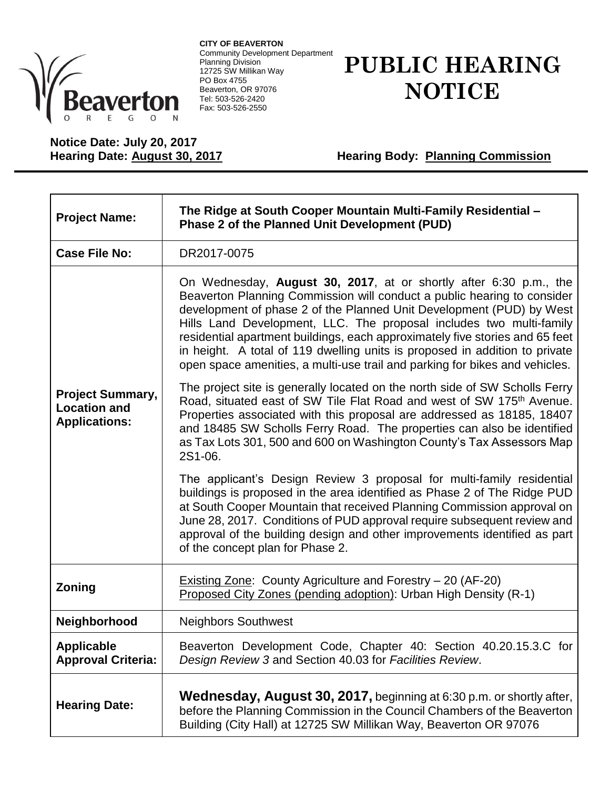

**CITY OF BEAVERTON** Community Development Department Planning Division 12725 SW Millikan Way PO Box 4755 Beaverton, OR 97076 Tel: 503-526-2420 Fax: 503-526-2550

## **PUBLIC HEARING NOTICE**

## **Notice Date: July 20, 2017**

**Hearing Body: Planning Commission** 

| <b>Project Name:</b>                                                   | The Ridge at South Cooper Mountain Multi-Family Residential -<br>Phase 2 of the Planned Unit Development (PUD)                                                                                                                                                                                                                                                                                                                                                                                                                            |
|------------------------------------------------------------------------|-------------------------------------------------------------------------------------------------------------------------------------------------------------------------------------------------------------------------------------------------------------------------------------------------------------------------------------------------------------------------------------------------------------------------------------------------------------------------------------------------------------------------------------------|
| <b>Case File No:</b>                                                   | DR2017-0075                                                                                                                                                                                                                                                                                                                                                                                                                                                                                                                               |
| <b>Project Summary,</b><br><b>Location and</b><br><b>Applications:</b> | On Wednesday, August 30, 2017, at or shortly after 6:30 p.m., the<br>Beaverton Planning Commission will conduct a public hearing to consider<br>development of phase 2 of the Planned Unit Development (PUD) by West<br>Hills Land Development, LLC. The proposal includes two multi-family<br>residential apartment buildings, each approximately five stories and 65 feet<br>in height. A total of 119 dwelling units is proposed in addition to private<br>open space amenities, a multi-use trail and parking for bikes and vehicles. |
|                                                                        | The project site is generally located on the north side of SW Scholls Ferry<br>Road, situated east of SW Tile Flat Road and west of SW 175 <sup>th</sup> Avenue.<br>Properties associated with this proposal are addressed as 18185, 18407<br>and 18485 SW Scholls Ferry Road. The properties can also be identified<br>as Tax Lots 301, 500 and 600 on Washington County's Tax Assessors Map<br>2S1-06.                                                                                                                                  |
|                                                                        | The applicant's Design Review 3 proposal for multi-family residential<br>buildings is proposed in the area identified as Phase 2 of The Ridge PUD<br>at South Cooper Mountain that received Planning Commission approval on<br>June 28, 2017. Conditions of PUD approval require subsequent review and<br>approval of the building design and other improvements identified as part<br>of the concept plan for Phase 2.                                                                                                                   |
| Zoning                                                                 | Existing Zone: County Agriculture and Forestry - 20 (AF-20)<br>Proposed City Zones (pending adoption): Urban High Density (R-1)                                                                                                                                                                                                                                                                                                                                                                                                           |
| Neighborhood                                                           | <b>Neighbors Southwest</b>                                                                                                                                                                                                                                                                                                                                                                                                                                                                                                                |
| <b>Applicable</b><br><b>Approval Criteria:</b>                         | Beaverton Development Code, Chapter 40: Section 40.20.15.3.C for<br>Design Review 3 and Section 40.03 for Facilities Review.                                                                                                                                                                                                                                                                                                                                                                                                              |
| <b>Hearing Date:</b>                                                   | <b>Wednesday, August 30, 2017, beginning at 6:30 p.m. or shortly after,</b><br>before the Planning Commission in the Council Chambers of the Beaverton<br>Building (City Hall) at 12725 SW Millikan Way, Beaverton OR 97076                                                                                                                                                                                                                                                                                                               |